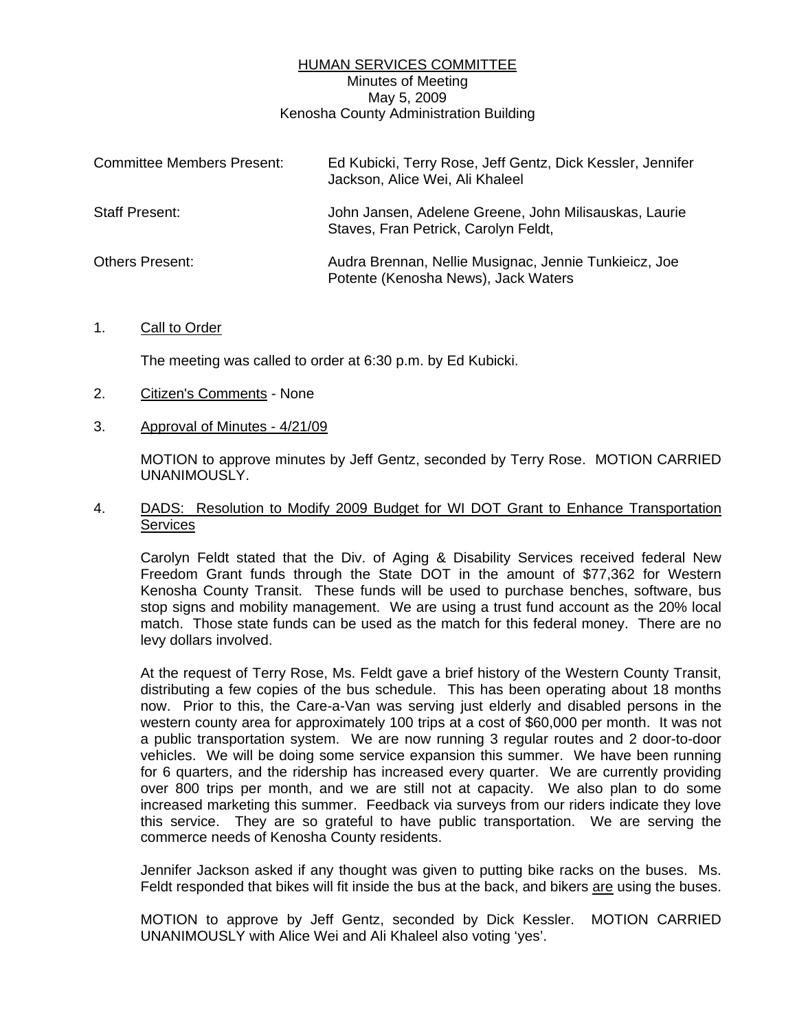## HUMAN SERVICES COMMITTEE Minutes of Meeting May 5, 2009 Kenosha County Administration Building

| <b>Committee Members Present:</b> | Ed Kubicki, Terry Rose, Jeff Gentz, Dick Kessler, Jennifer<br>Jackson, Alice Wei, Ali Khaleel |
|-----------------------------------|-----------------------------------------------------------------------------------------------|
| <b>Staff Present:</b>             | John Jansen, Adelene Greene, John Milisauskas, Laurie<br>Staves, Fran Petrick, Carolyn Feldt, |
| <b>Others Present:</b>            | Audra Brennan, Nellie Musignac, Jennie Tunkieicz, Joe<br>Potente (Kenosha News), Jack Waters  |

#### 1. Call to Order

The meeting was called to order at 6:30 p.m. by Ed Kubicki.

- 2. Citizen's Comments None
- 3. Approval of Minutes 4/21/09

 MOTION to approve minutes by Jeff Gentz, seconded by Terry Rose. MOTION CARRIED UNANIMOUSLY.

4. DADS: Resolution to Modify 2009 Budget for WI DOT Grant to Enhance Transportation **Services** 

 Carolyn Feldt stated that the Div. of Aging & Disability Services received federal New Freedom Grant funds through the State DOT in the amount of \$77,362 for Western Kenosha County Transit. These funds will be used to purchase benches, software, bus stop signs and mobility management. We are using a trust fund account as the 20% local match. Those state funds can be used as the match for this federal money. There are no levy dollars involved.

 At the request of Terry Rose, Ms. Feldt gave a brief history of the Western County Transit, distributing a few copies of the bus schedule. This has been operating about 18 months now. Prior to this, the Care-a-Van was serving just elderly and disabled persons in the western county area for approximately 100 trips at a cost of \$60,000 per month. It was not a public transportation system. We are now running 3 regular routes and 2 door-to-door vehicles. We will be doing some service expansion this summer. We have been running for 6 quarters, and the ridership has increased every quarter. We are currently providing over 800 trips per month, and we are still not at capacity. We also plan to do some increased marketing this summer. Feedback via surveys from our riders indicate they love this service. They are so grateful to have public transportation. We are serving the commerce needs of Kenosha County residents.

 Jennifer Jackson asked if any thought was given to putting bike racks on the buses. Ms. Feldt responded that bikes will fit inside the bus at the back, and bikers are using the buses.

 MOTION to approve by Jeff Gentz, seconded by Dick Kessler. MOTION CARRIED UNANIMOUSLY with Alice Wei and Ali Khaleel also voting 'yes'.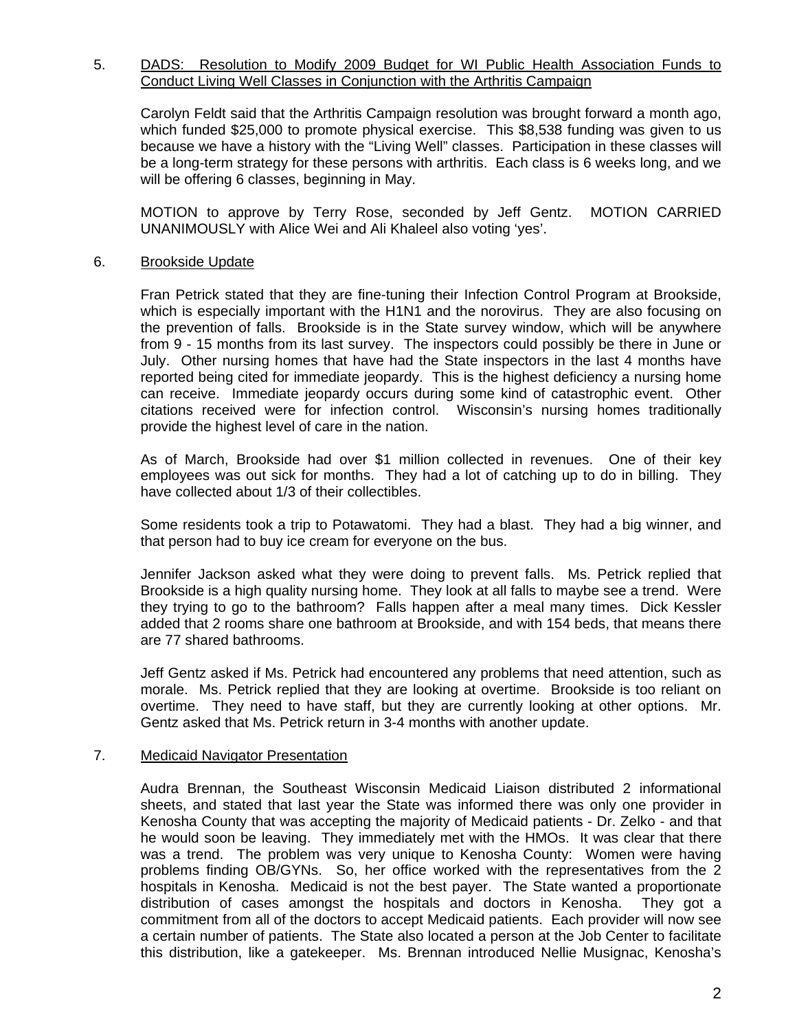### 5. DADS: Resolution to Modify 2009 Budget for WI Public Health Association Funds to Conduct Living Well Classes in Conjunction with the Arthritis Campaign

 Carolyn Feldt said that the Arthritis Campaign resolution was brought forward a month ago, which funded \$25,000 to promote physical exercise. This \$8,538 funding was given to us because we have a history with the "Living Well" classes. Participation in these classes will be a long-term strategy for these persons with arthritis. Each class is 6 weeks long, and we will be offering 6 classes, beginning in May.

 MOTION to approve by Terry Rose, seconded by Jeff Gentz. MOTION CARRIED UNANIMOUSLY with Alice Wei and Ali Khaleel also voting 'yes'.

## 6. Brookside Update

 Fran Petrick stated that they are fine-tuning their Infection Control Program at Brookside, which is especially important with the H1N1 and the norovirus. They are also focusing on the prevention of falls. Brookside is in the State survey window, which will be anywhere from 9 - 15 months from its last survey. The inspectors could possibly be there in June or July. Other nursing homes that have had the State inspectors in the last 4 months have reported being cited for immediate jeopardy. This is the highest deficiency a nursing home can receive. Immediate jeopardy occurs during some kind of catastrophic event. Other citations received were for infection control. Wisconsin's nursing homes traditionally provide the highest level of care in the nation.

 As of March, Brookside had over \$1 million collected in revenues. One of their key employees was out sick for months. They had a lot of catching up to do in billing. They have collected about 1/3 of their collectibles.

 Some residents took a trip to Potawatomi. They had a blast. They had a big winner, and that person had to buy ice cream for everyone on the bus.

 Jennifer Jackson asked what they were doing to prevent falls. Ms. Petrick replied that Brookside is a high quality nursing home. They look at all falls to maybe see a trend. Were they trying to go to the bathroom? Falls happen after a meal many times. Dick Kessler added that 2 rooms share one bathroom at Brookside, and with 154 beds, that means there are 77 shared bathrooms.

 Jeff Gentz asked if Ms. Petrick had encountered any problems that need attention, such as morale. Ms. Petrick replied that they are looking at overtime. Brookside is too reliant on overtime. They need to have staff, but they are currently looking at other options. Mr. Gentz asked that Ms. Petrick return in 3-4 months with another update.

#### 7. Medicaid Navigator Presentation

 Audra Brennan, the Southeast Wisconsin Medicaid Liaison distributed 2 informational sheets, and stated that last year the State was informed there was only one provider in Kenosha County that was accepting the majority of Medicaid patients - Dr. Zelko - and that he would soon be leaving. They immediately met with the HMOs. It was clear that there was a trend. The problem was very unique to Kenosha County: Women were having problems finding OB/GYNs. So, her office worked with the representatives from the 2 hospitals in Kenosha. Medicaid is not the best payer. The State wanted a proportionate distribution of cases amongst the hospitals and doctors in Kenosha. They got a commitment from all of the doctors to accept Medicaid patients. Each provider will now see a certain number of patients. The State also located a person at the Job Center to facilitate this distribution, like a gatekeeper. Ms. Brennan introduced Nellie Musignac, Kenosha's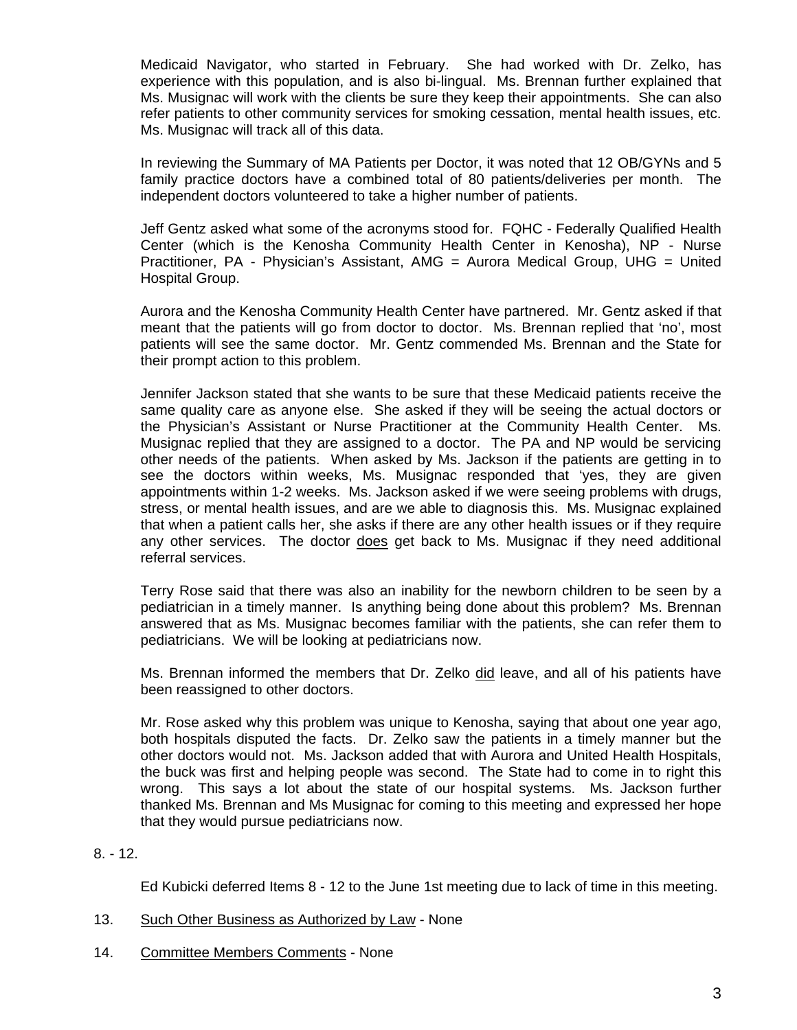Medicaid Navigator, who started in February. She had worked with Dr. Zelko, has experience with this population, and is also bi-lingual. Ms. Brennan further explained that Ms. Musignac will work with the clients be sure they keep their appointments. She can also refer patients to other community services for smoking cessation, mental health issues, etc. Ms. Musignac will track all of this data.

 In reviewing the Summary of MA Patients per Doctor, it was noted that 12 OB/GYNs and 5 family practice doctors have a combined total of 80 patients/deliveries per month. The independent doctors volunteered to take a higher number of patients.

 Jeff Gentz asked what some of the acronyms stood for. FQHC - Federally Qualified Health Center (which is the Kenosha Community Health Center in Kenosha), NP - Nurse Practitioner, PA - Physician's Assistant, AMG = Aurora Medical Group, UHG = United Hospital Group.

 Aurora and the Kenosha Community Health Center have partnered. Mr. Gentz asked if that meant that the patients will go from doctor to doctor. Ms. Brennan replied that 'no', most patients will see the same doctor. Mr. Gentz commended Ms. Brennan and the State for their prompt action to this problem.

 Jennifer Jackson stated that she wants to be sure that these Medicaid patients receive the same quality care as anyone else. She asked if they will be seeing the actual doctors or the Physician's Assistant or Nurse Practitioner at the Community Health Center. Ms. Musignac replied that they are assigned to a doctor. The PA and NP would be servicing other needs of the patients. When asked by Ms. Jackson if the patients are getting in to see the doctors within weeks, Ms. Musignac responded that 'yes, they are given appointments within 1-2 weeks. Ms. Jackson asked if we were seeing problems with drugs, stress, or mental health issues, and are we able to diagnosis this. Ms. Musignac explained that when a patient calls her, she asks if there are any other health issues or if they require any other services. The doctor does get back to Ms. Musignac if they need additional referral services.

 Terry Rose said that there was also an inability for the newborn children to be seen by a pediatrician in a timely manner. Is anything being done about this problem? Ms. Brennan answered that as Ms. Musignac becomes familiar with the patients, she can refer them to pediatricians. We will be looking at pediatricians now.

 Ms. Brennan informed the members that Dr. Zelko did leave, and all of his patients have been reassigned to other doctors.

 Mr. Rose asked why this problem was unique to Kenosha, saying that about one year ago, both hospitals disputed the facts. Dr. Zelko saw the patients in a timely manner but the other doctors would not. Ms. Jackson added that with Aurora and United Health Hospitals, the buck was first and helping people was second. The State had to come in to right this wrong. This says a lot about the state of our hospital systems. Ms. Jackson further thanked Ms. Brennan and Ms Musignac for coming to this meeting and expressed her hope that they would pursue pediatricians now.

# 8. - 12.

Ed Kubicki deferred Items 8 - 12 to the June 1st meeting due to lack of time in this meeting.

- 13. Such Other Business as Authorized by Law None
- 14. Committee Members Comments None